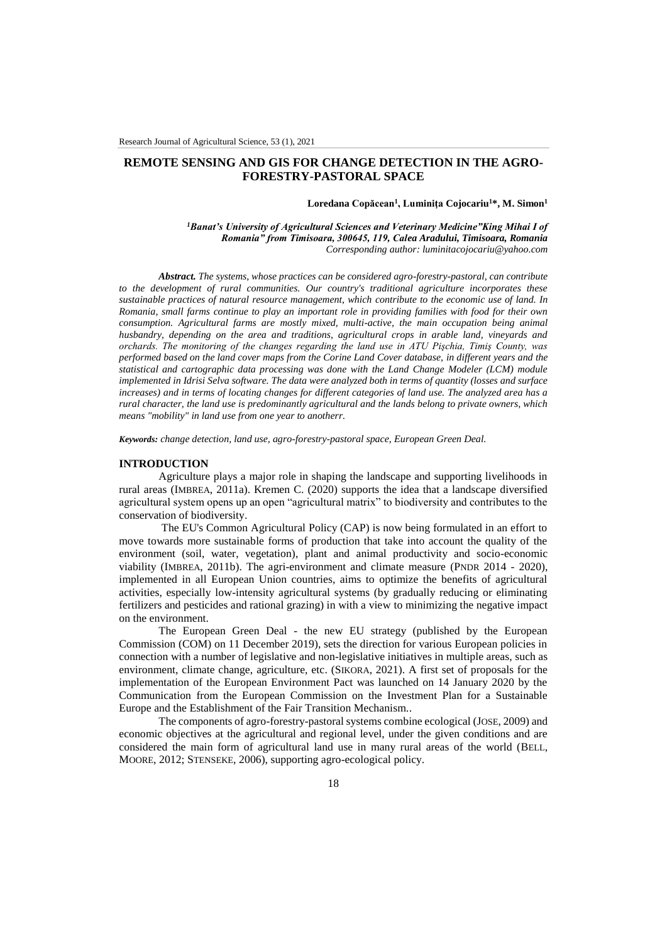# **REMOTE SENSING AND GIS FOR CHANGE DETECTION IN THE AGRO-FORESTRY-PASTORAL SPACE**

### **Loredana Copăcean<sup>1</sup> , Luminiţa Cojocariu<sup>1</sup>\*, M. Simon<sup>1</sup>**

*<sup>1</sup>Banat's University of Agricultural Sciences and Veterinary Medicine"King Mihai I of Romania" from Timisoara, 300645, 119, Calea Aradului, Timisoara, Romania Corresponding author[: luminitacojocariu@yahoo.com](mailto:luminitacojocariu@yahoo.com)*

*Abstract. The systems, whose practices can be considered agro-forestry-pastoral, can contribute to the development of rural communities. Our country's traditional agriculture incorporates these sustainable practices of natural resource management, which contribute to the economic use of land. In Romania, small farms continue to play an important role in providing families with food for their own consumption. Agricultural farms are mostly mixed, multi-active, the main occupation being animal husbandry, depending on the area and traditions, agricultural crops in arable land, vineyards and orchards. The monitoring of the changes regarding the land use in ATU Pişchia, Timiş County, was performed based on the land cover maps from the Corine Land Cover database, in different years and the statistical and cartographic data processing was done with the Land Change Modeler (LCM) module implemented in Idrisi Selva software. The data were analyzed both in terms of quantity (losses and surface increases) and in terms of locating changes for different categories of land use. The analyzed area has a rural character, the land use is predominantly agricultural and the lands belong to private owners, which means "mobility" in land use from one year to anotherr.*

*Keywords: change detection, land use, agro-forestry-pastoral space, European Green Deal.*

### **INTRODUCTION**

Agriculture plays a major role in shaping the landscape and supporting livelihoods in rural areas (IMBREA, 2011a). Kremen C. (2020) supports the idea that a landscape diversified agricultural system opens up an open "agricultural matrix" to biodiversity and contributes to the conservation of biodiversity.

The EU's Common Agricultural Policy (CAP) is now being formulated in an effort to move towards more sustainable forms of production that take into account the quality of the environment (soil, water, vegetation), plant and animal productivity and socio-economic viability (IMBREA, 2011b). The agri-environment and climate measure (PNDR 2014 - 2020), implemented in all European Union countries, aims to optimize the benefits of agricultural activities, especially low-intensity agricultural systems (by gradually reducing or eliminating fertilizers and pesticides and rational grazing) in with a view to minimizing the negative impact on the environment.

The European Green Deal - the new EU strategy (published by the European Commission (COM) on 11 December 2019), sets the direction for various European policies in connection with a number of legislative and non-legislative initiatives in multiple areas, such as environment, climate change, agriculture, etc. (SIKORA, 2021). A first set of proposals for the implementation of the European Environment Pact was launched on 14 January 2020 by the Communication from the European Commission on the Investment Plan for a Sustainable Europe and the Establishment of the Fair Transition Mechanism..

The components of agro-forestry-pastoral systems combine ecological (JOSE, 2009) and economic objectives at the agricultural and regional level, under the given conditions and are considered the main form of agricultural land use in many rural areas of the world (BELL, MOORE, 2012; STENSEKE, 2006), supporting agro-ecological policy.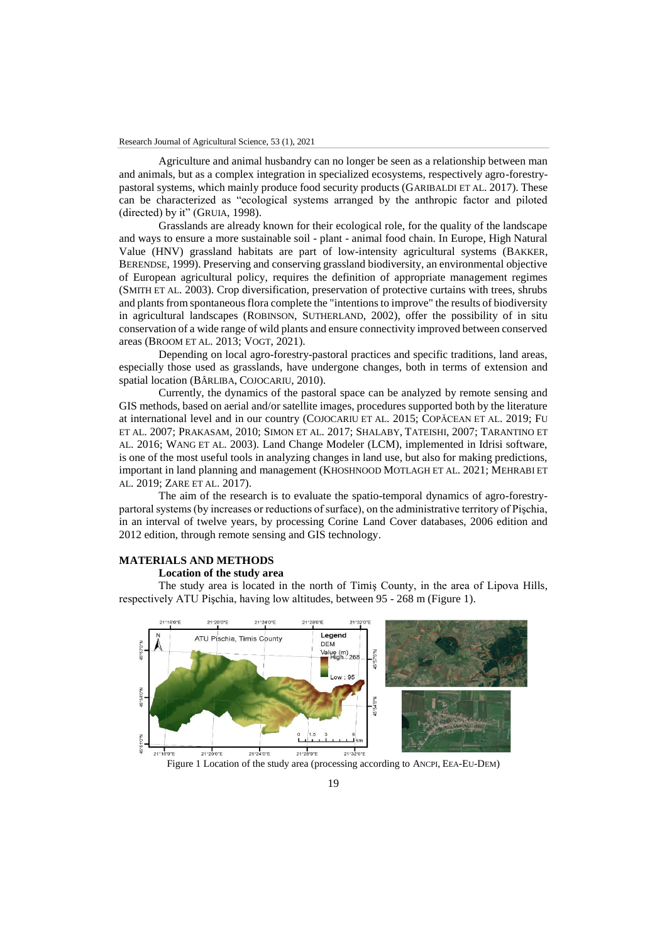Agriculture and animal husbandry can no longer be seen as a relationship between man and animals, but as a complex integration in specialized ecosystems, respectively agro-forestrypastoral systems, which mainly produce food security products (GARIBALDI ET AL. 2017). These can be characterized as "ecological systems arranged by the anthropic factor and piloted (directed) by it" (GRUIA, 1998).

Grasslands are already known for their ecological role, for the quality of the landscape and ways to ensure a more sustainable soil - plant - animal food chain. In Europe, High Natural Value (HNV) grassland habitats are part of low-intensity agricultural systems (BAKKER, BERENDSE, 1999). Preserving and conserving grassland biodiversity, an environmental objective of European agricultural policy, requires the definition of appropriate management regimes (SMITH ET AL. 2003). Crop diversification, preservation of protective curtains with trees, shrubs and plants from spontaneous flora complete the "intentions to improve" the results of biodiversity in agricultural landscapes (ROBINSON, SUTHERLAND, 2002), offer the possibility of in situ conservation of a wide range of wild plants and ensure connectivity improved between conserved areas (BROOM ET AL. 2013; VOGT, 2021).

Depending on local agro-forestry-pastoral practices and specific traditions, land areas, especially those used as grasslands, have undergone changes, both in terms of extension and spatial location (BÂRLIBA, COJOCARIU, 2010).

Currently, the dynamics of the pastoral space can be analyzed by remote sensing and GIS methods, based on aerial and/or satellite images, procedures supported both by the literature at international level and in our country (COJOCARIU ET AL. 2015; COPĂCEAN ET AL. 2019; FU ET AL. 2007; PRAKASAM, 2010; SIMON ET AL. 2017; SHALABY, TATEISHI, 2007; TARANTINO ET AL. 2016; WANG ET AL. 2003). Land Change Modeler (LCM), implemented in Idrisi software, is one of the most useful tools in analyzing changes in land use, but also for making predictions, important in land planning and management (KHOSHNOOD MOTLAGH ET AL. 2021; MEHRABI ET AL. 2019; ZARE ET AL. 2017).

The aim of the research is to evaluate the spatio-temporal dynamics of agro-forestrypartoral systems (by increases or reductions of surface), on the administrative territory of Pişchia, in an interval of twelve years, by processing Corine Land Cover databases, 2006 edition and 2012 edition, through remote sensing and GIS technology.

## **MATERIALS AND METHODS**

### **Location of the study area**

The study area is located in the north of Timiş County, in the area of Lipova Hills, respectively ATU Pişchia, having low altitudes, between 95 - 268 m (Figure 1).

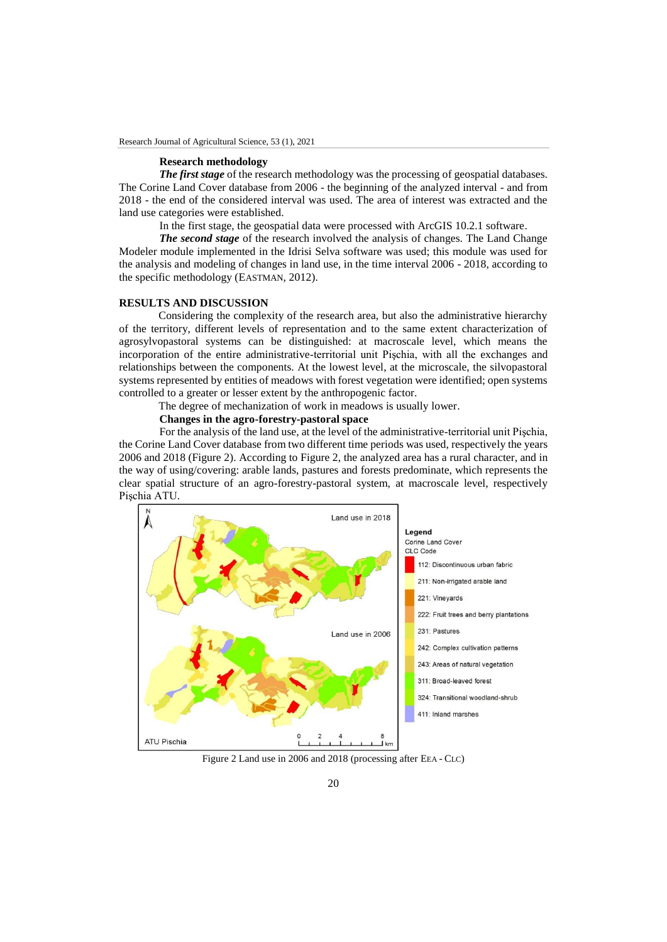# **Research methodology**

*The first stage* of the research methodology was the processing of geospatial databases. The Corine Land Cover database from 2006 - the beginning of the analyzed interval - and from 2018 - the end of the considered interval was used. The area of interest was extracted and the land use categories were established.

In the first stage, the geospatial data were processed with ArcGIS 10.2.1 software.

*The second stage* of the research involved the analysis of changes. The Land Change Modeler module implemented in the Idrisi Selva software was used; this module was used for the analysis and modeling of changes in land use, in the time interval 2006 - 2018, according to the specific methodology (EASTMAN, 2012).

## **RESULTS AND DISCUSSION**

Considering the complexity of the research area, but also the administrative hierarchy of the territory, different levels of representation and to the same extent characterization of agrosylvopastoral systems can be distinguished: at macroscale level, which means the incorporation of the entire administrative-territorial unit Pişchia, with all the exchanges and relationships between the components. At the lowest level, at the microscale, the silvopastoral systems represented by entities of meadows with forest vegetation were identified; open systems controlled to a greater or lesser extent by the anthropogenic factor.

The degree of mechanization of work in meadows is usually lower.

# **Changes in the agro-forestry-pastoral space**

For the analysis of the land use, at the level of the administrative-territorial unit Pişchia, the Corine Land Cover database from two different time periods was used, respectively the years 2006 and 2018 (Figure 2). According to Figure 2, the analyzed area has a rural character, and in the way of using/covering: arable lands, pastures and forests predominate, which represents the clear spatial structure of an agro-forestry-pastoral system, at macroscale level, respectively Pişchia ATU.



Figure 2 Land use in 2006 and 2018 (processing after EEA - CLC)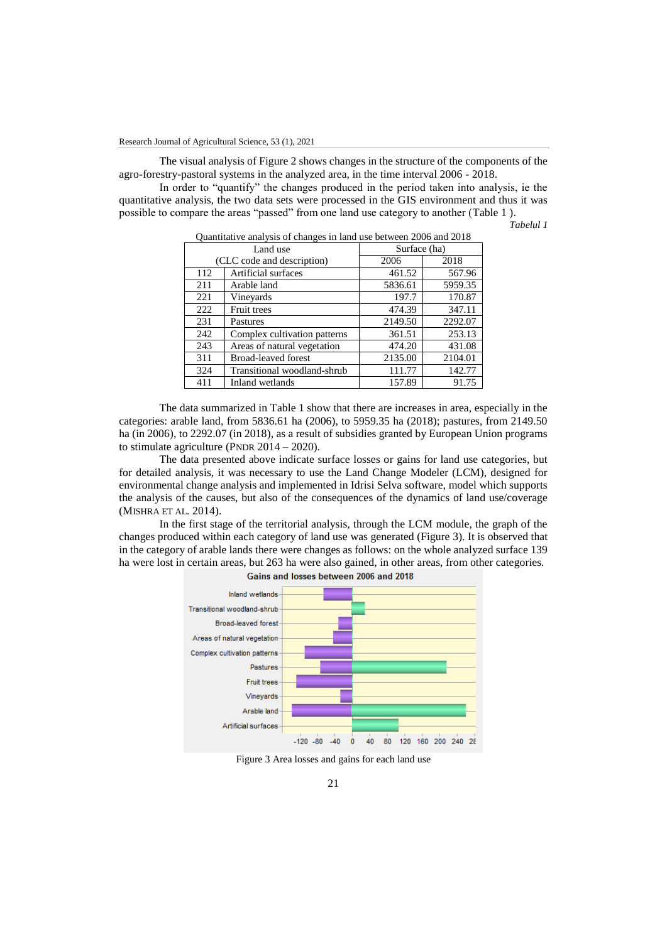The visual analysis of Figure 2 shows changes in the structure of the components of the agro-forestry-pastoral systems in the analyzed area, in the time interval 2006 - 2018.

In order to "quantify" the changes produced in the period taken into analysis, ie the quantitative analysis, the two data sets were processed in the GIS environment and thus it was possible to compare the areas "passed" from one land use category to another (Table 1 ).

*Tabelul 1*

| Quantitative analysis of changes in failu use between 2000 and 2016 |                              |              |         |
|---------------------------------------------------------------------|------------------------------|--------------|---------|
| Land use                                                            |                              | Surface (ha) |         |
| (CLC code and description)                                          |                              | 2006         | 2018    |
| 112                                                                 | Artificial surfaces          | 461.52       | 567.96  |
| 211                                                                 | Arable land                  | 5836.61      | 5959.35 |
| 221                                                                 | Vineyards                    | 197.7        | 170.87  |
| 222                                                                 | Fruit trees                  | 474.39       | 347.11  |
| 231                                                                 | Pastures                     | 2149.50      | 2292.07 |
| 242                                                                 | Complex cultivation patterns | 361.51       | 253.13  |
| 243                                                                 | Areas of natural vegetation  | 474.20       | 431.08  |
| 311                                                                 | <b>Broad-leaved forest</b>   | 2135.00      | 2104.01 |
| 324                                                                 | Transitional woodland-shrub  | 111.77       | 142.77  |
| 411                                                                 | Inland wetlands              | 157.89       | 91.75   |

Quantitative analysis of changes in land use between 2006 and 2018

The data summarized in Table 1 show that there are increases in area, especially in the categories: arable land, from 5836.61 ha (2006), to 5959.35 ha (2018); pastures, from 2149.50 ha (in 2006), to 2292.07 (in 2018), as a result of subsidies granted by European Union programs to stimulate agriculture (PNDR 2014 – 2020).

The data presented above indicate surface losses or gains for land use categories, but for detailed analysis, it was necessary to use the Land Change Modeler (LCM), designed for environmental change analysis and implemented in Idrisi Selva software, model which supports the analysis of the causes, but also of the consequences of the dynamics of land use/coverage (MISHRA ET AL. 2014).

In the first stage of the territorial analysis, through the LCM module, the graph of the changes produced within each category of land use was generated (Figure 3). It is observed that in the category of arable lands there were changes as follows: on the whole analyzed surface 139 ha were lost in certain areas, but 263 ha were also gained, in other areas, from other categories.



Gains and losses between 2006 and 2018

Figure 3 Area losses and gains for each land use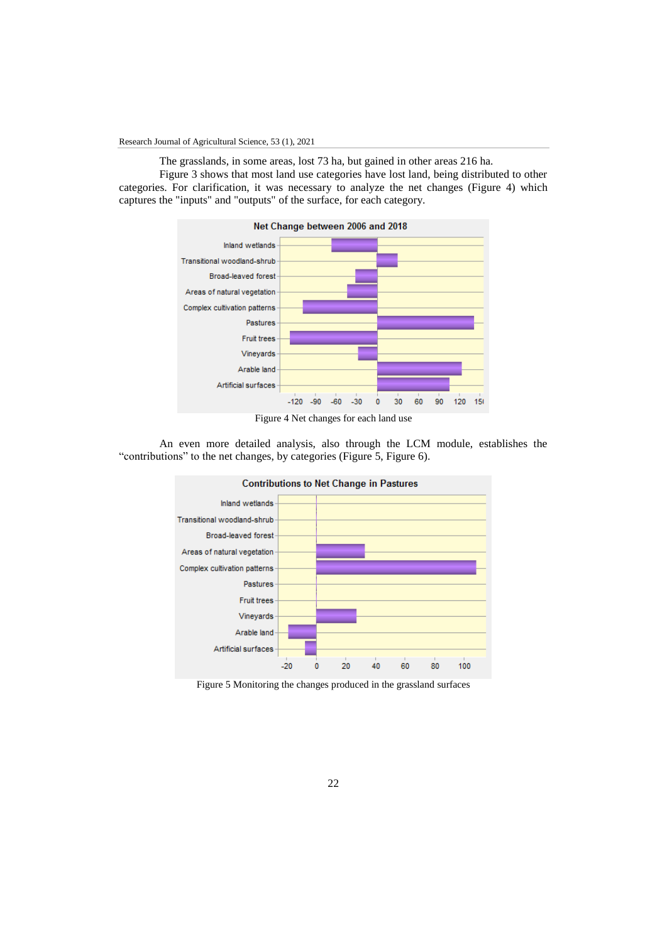Research Journal of Agricultural Science, 53 (1), 2021

The grasslands, in some areas, lost 73 ha, but gained in other areas 216 ha.

Figure 3 shows that most land use categories have lost land, being distributed to other categories. For clarification, it was necessary to analyze the net changes (Figure 4) which captures the "inputs" and "outputs" of the surface, for each category.



Figure 4 Net changes for each land use

An even more detailed analysis, also through the LCM module, establishes the "contributions" to the net changes, by categories (Figure 5, Figure 6).



Figure 5 Monitoring the changes produced in the grassland surfaces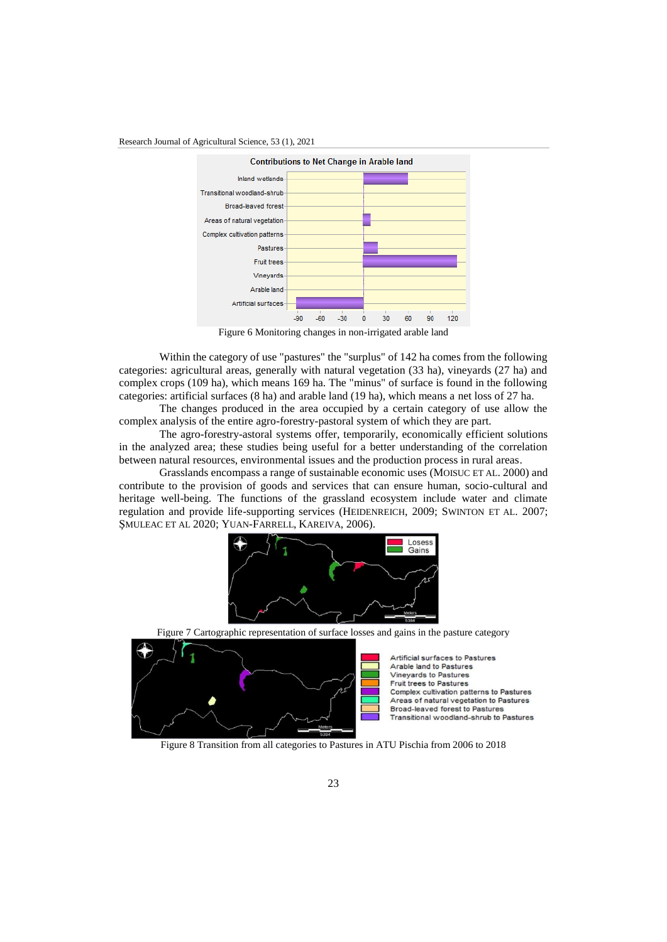



Figure 6 Monitoring changes in non-irrigated arable land

Within the category of use "pastures" the "surplus" of 142 ha comes from the following categories: agricultural areas, generally with natural vegetation (33 ha), vineyards (27 ha) and complex crops (109 ha), which means 169 ha. The "minus" of surface is found in the following categories: artificial surfaces (8 ha) and arable land (19 ha), which means a net loss of 27 ha.

The changes produced in the area occupied by a certain category of use allow the complex analysis of the entire agro-forestry-pastoral system of which they are part.

The agro-forestry-astoral systems offer, temporarily, economically efficient solutions in the analyzed area; these studies being useful for a better understanding of the correlation between natural resources, environmental issues and the production process in rural areas.

Grasslands encompass a range of sustainable economic uses (MOISUC ET AL. 2000) and contribute to the provision of goods and services that can ensure human, socio-cultural and heritage well-being. The functions of the grassland ecosystem include water and climate regulation and provide life-supporting services (HEIDENREICH, 2009; SWINTON ET AL. 2007; ŞMULEAC ET AL 2020; YUAN-FARRELL, KAREIVA, 2006).



Figure 7 Cartographic representation of surface losses and gains in the pasture category



Artificial surfaces to Pastures Arable land to Pastures Vineyards to Pastures **Fruit trees to Pastures** Complex cultivation patterns to Pastures Areas of natural vegetation to Pastures Broad-leaved forest to Pastures Transitional woodland-shrub to Pastures

Figure 8 Transition from all categories to Pastures in ATU Pischia from 2006 to 2018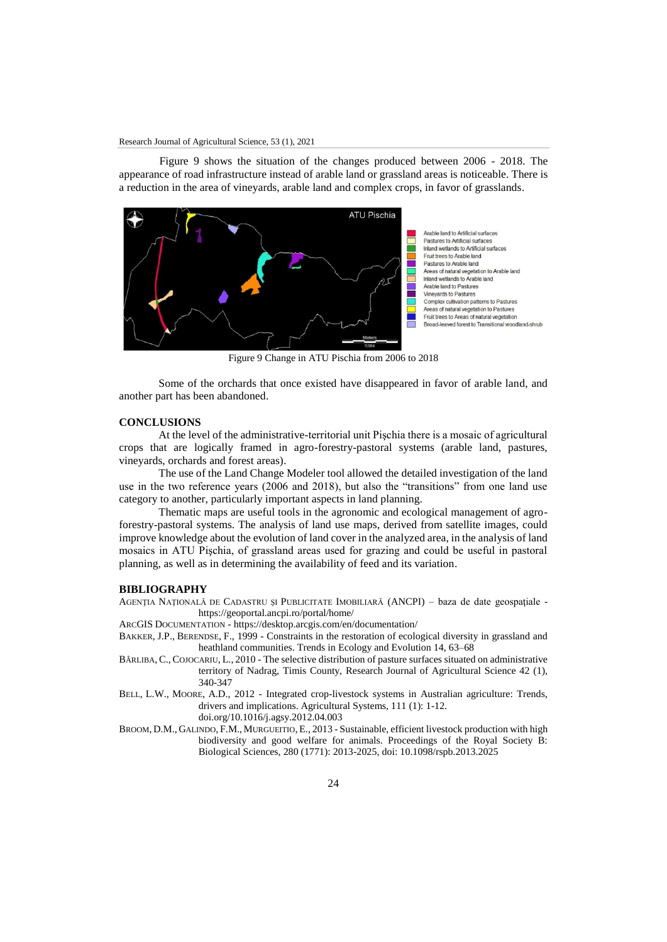Figure 9 shows the situation of the changes produced between 2006 - 2018. The appearance of road infrastructure instead of arable land or grassland areas is noticeable. There is a reduction in the area of vineyards, arable land and complex crops, in favor of grasslands.



Figure 9 Change in ATU Pischia from 2006 to 2018

Some of the orchards that once existed have disappeared in favor of arable land, and another part has been abandoned.

## **CONCLUSIONS**

At the level of the administrative-territorial unit Pişchia there is a mosaic of agricultural crops that are logically framed in agro-forestry-pastoral systems (arable land, pastures, vineyards, orchards and forest areas).

The use of the Land Change Modeler tool allowed the detailed investigation of the land use in the two reference years (2006 and 2018), but also the "transitions" from one land use category to another, particularly important aspects in land planning.

Thematic maps are useful tools in the agronomic and ecological management of agroforestry-pastoral systems. The analysis of land use maps, derived from satellite images, could improve knowledge about the evolution of land cover in the analyzed area, in the analysis of land mosaics in ATU Pişchia, of grassland areas used for grazing and could be useful in pastoral planning, as well as in determining the availability of feed and its variation.

### **BIBLIOGRAPHY**

AGENŢIA NAŢIONALĂ DE CADASTRU ŞI PUBLICITATE IMOBILIARĂ (ANCPI) – baza de date geospaţiale https://geoportal.ancpi.ro/portal/home/

ARCGIS DOCUMENTATION - https://desktop.arcgis.com/en/documentation/

- BAKKER, J.P., BERENDSE, F., 1999 Constraints in the restoration of ecological diversity in grassland and heathland communities. Trends in Ecology and Evolution 14, 63–68
- BÂRLIBA, C., COJOCARIU, L., 2010 The selective distribution of pasture surfaces situated on administrative territory of Nadrag, Timis County, Research Journal of Agricultural Science 42 (1), 340-347
- BELL, L.W., MOORE, A.D., 2012 Integrated crop-livestock systems in Australian agriculture: Trends, drivers and implications. Agricultural Systems, 111 (1): 1-12.

doi.org/10.1016/j.agsy.2012.04.003

BROOM, D.M., GALINDO, F.M., MURGUEITIO, E., 2013 - Sustainable, efficient livestock production with high biodiversity and good welfare for animals. Proceedings of the Royal Society B: Biological Sciences, 280 (1771): 2013-2025, doi: 10.1098/rspb.2013.2025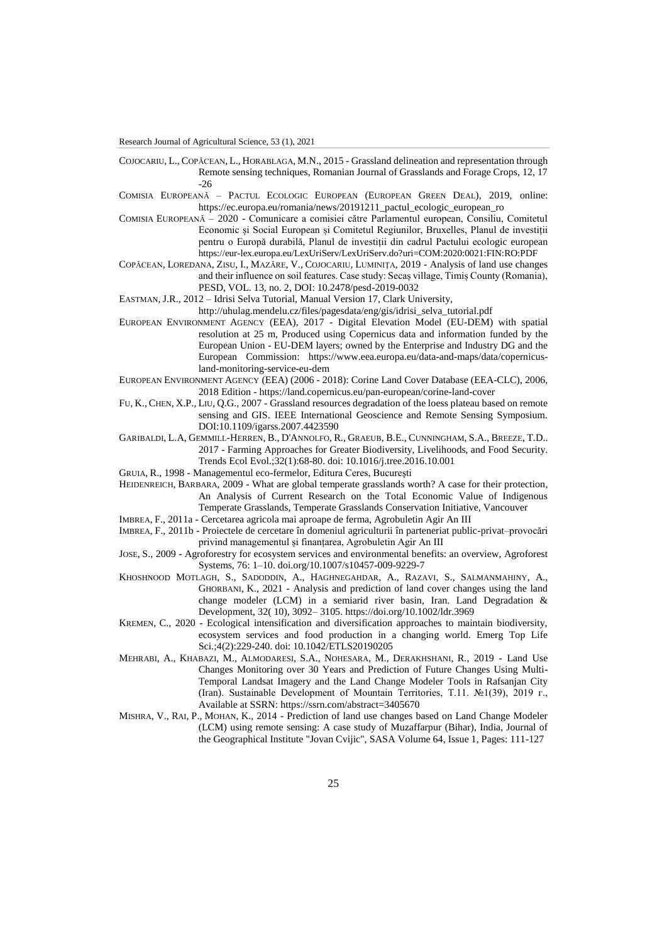Research Journal of Agricultural Science, 53 (1), 2021

- COJOCARIU, L., COPĂCEAN, L., HORABLAGA, M.N., 2015 Grassland delineation and representation through Remote sensing techniques, Romanian Journal of Grasslands and Forage Crops, 12, 17 -26
- COMISIA EUROPEANĂ PACTUL ECOLOGIC EUROPEAN (EUROPEAN GREEN DEAL), 2019, online: https://ec.europa.eu/romania/news/20191211\_pactul\_ecologic\_european\_ro
- COMISIA EUROPEANĂ 2020 Comunicare a comisiei către Parlamentul european, Consiliu, Comitetul Economic și Social European și Comitetul Regiunilor, Bruxelles, Planul de investiții pentru o Europă durabilă, Planul de investiții din cadrul Pactului ecologic european https://eur-lex.europa.eu/LexUriServ/LexUriServ.do?uri=COM:2020:0021:FIN:RO:PDF
- COPĂCEAN, LOREDANA, ZISU, I., MAZĂRE, V., COJOCARIU, LUMINIŢA, 2019 Analysis of land use changes and their influence on soil features. Case study: Secaș village, Timiș County (Romania), PESD, VOL. 13, no. 2, DOI: 10.2478/pesd-2019-0032

EASTMAN, J.R., 2012 – Idrisi Selva Tutorial, Manual Version 17, Clark University,

http://uhulag.mendelu.cz/files/pagesdata/eng/gis/idrisi\_selva\_tutorial.pdf

- EUROPEAN ENVIRONMENT AGENCY (EEA), 2017 Digital Elevation Model (EU-DEM) with spatial resolution at 25 m, Produced using Copernicus data and information funded by the European Union - EU-DEM layers; owned by the Enterprise and Industry DG and the European Commission: https://www.eea.europa.eu/data-and-maps/data/copernicusland-monitoring-service-eu-dem
- EUROPEAN ENVIRONMENT AGENCY (EEA) (2006 2018): Corine Land Cover Database (EEA-CLC), 2006, 2018 Edition - https://land.copernicus.eu/pan-european/corine-land-cover
- FU, K., CHEN, X.P., LIU, Q.G., 2007 Grassland resources degradation of the loess plateau based on remote sensing and GIS. IEEE International Geoscience and Remote Sensing Symposium. DOI:10.1109/igarss.2007.4423590
- GARIBALDI, L.A, GEMMILL-HERREN, B., D'ANNOLFO, R., GRAEUB, B.E., CUNNINGHAM, S.A., BREEZE, T.D.. 2017 - Farming Approaches for Greater Biodiversity, Livelihoods, and Food Security. Trends Ecol Evol.;32(1):68-80. doi: 10.1016/j.tree.2016.10.001
- GRUIA, R., 1998 Managementul eco-fermelor, Editura Ceres, Bucureşti
- HEIDENREICH, BARBARA, 2009 What are global temperate grasslands worth? A case for their protection, An Analysis of Current Research on the Total Economic Value of Indigenous Temperate Grasslands, Temperate Grasslands Conservation Initiative, Vancouver
- IMBREA, F., 2011a Cercetarea agricola mai aproape de ferma, Agrobuletin Agir An III
- IMBREA, F., 2011b Proiectele de cercetare în domeniul agriculturii în parteneriat public-privat–provocări privind managementul și finanțarea, Agrobuletin Agir An III
- JOSE, S., 2009 Agroforestry for ecosystem services and environmental benefits: an overview, Agroforest Systems, 76: 1–10. doi.org/10.1007/s10457-009-9229-7
- KHOSHNOOD MOTLAGH, S., SADODDIN, A., HAGHNEGAHDAR, A., RAZAVI, S., SALMANMAHINY, A., GHORBANI, K., 2021 - Analysis and prediction of land cover changes using the land change modeler (LCM) in a semiarid river basin, Iran. Land Degradation & Development, 32( 10), 3092– 3105. https://doi.org/10.1002/ldr.3969
- KREMEN, C., 2020 Ecological intensification and diversification approaches to maintain biodiversity, ecosystem services and food production in a changing world. Emerg Top Life Sci.;4(2):229-240. doi: 10.1042/ETLS20190205
- MEHRABI, A., KHABAZI, M., ALMODARESI, S.A., NOHESARA, M., DERAKHSHANI, R., 2019 Land Use Changes Monitoring over 30 Years and Prediction of Future Changes Using Multi-Temporal Landsat Imagery and the Land Change Modeler Tools in Rafsanjan City (Iran). Sustainable Development of Mountain Territories, Т.11. №1(39), 2019 г., Available at SSRN: https://ssrn.com/abstract=3405670
- MISHRA, V., RAI, P., MOHAN, K., 2014 Prediction of land use changes based on Land Change Modeler (LCM) using remote sensing: A case study of Muzaffarpur (Bihar), India, Journal of the Geographical Institute "Jovan Cvijic", SASA Volume 64, Issue 1, Pages: 111-127